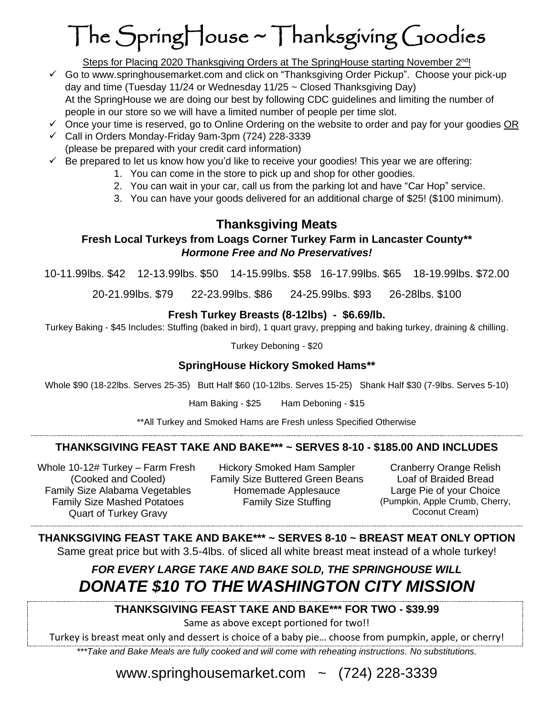# The SpringHouse ~ Thanksgiving Goodies

Steps for Placing 2020 Thanksgiving Orders at The SpringHouse starting November 2<sup>nd</sup>!

- ✓ Go to www.springhousemarket.com and click on "Thanksgiving Order Pickup". Choose your pick-up day and time (Tuesday 11/24 or Wednesday 11/25 ~ Closed Thanksgiving Day) At the SpringHouse we are doing our best by following CDC guidelines and limiting the number of people in our store so we will have a limited number of people per time slot.
- $\checkmark$  Once your time is reserved, go to Online Ordering on the website to order and pay for your goodies OR
- ✓ Call in Orders Monday-Friday 9am-3pm (724) 228-3339 (please be prepared with your credit card information)
- $\checkmark$  Be prepared to let us know how you'd like to receive your goodies! This year we are offering:
	- 1. You can come in the store to pick up and shop for other goodies.
	- 2. You can wait in your car, call us from the parking lot and have "Car Hop" service.
	- 3. You can have your goods delivered for an additional charge of \$25! (\$100 minimum).

## **Thanksgiving Meats**

#### **Fresh Local Turkeys from Loags Corner Turkey Farm in Lancaster County\*\*** *Hormone Free and No Preservatives!*

10-11.99lbs. \$42 12-13.99lbs. \$50 14-15.99lbs. \$58 16-17.99lbs. \$65 18-19.99lbs. \$72.00

20-21.99lbs. \$79 22-23.99lbs. \$86 24-25.99lbs. \$93 26-28lbs. \$100

#### **Fresh Turkey Breasts (8-12lbs) - \$6.69/lb.**

Turkey Baking - \$45 Includes: Stuffing (baked in bird), 1 quart gravy, prepping and baking turkey, draining & chilling.

Turkey Deboning - \$20

#### **SpringHouse Hickory Smoked Hams\*\***

Whole \$90 (18-22lbs. Serves 25-35) Butt Half \$60 (10-12lbs. Serves 15-25) Shank Half \$30 (7-9lbs. Serves 5-10)

Ham Baking - \$25 Ham Deboning - \$15

\*\*All Turkey and Smoked Hams are Fresh unless Specified Otherwise

### **THANKSGIVING FEAST TAKE AND BAKE\*\*\* ~ SERVES 8-10 - \$185.00 AND INCLUDES**

Whole 10-12# Turkey – Farm Fresh (Cooked and Cooled) Family Size Mashed Potatoes Quart of Turkey Gravy

Hickory Smoked Ham Sampler Cranberry Orange Relish Family Size Buttered Green Beans Loaf of Braided Bread Family Size Alabama Vegetables Homemade Applesauce Large Pie of your Choice

Family Size Stuffing (Pumpkin, Apple Crumb, Cherry, Coconut Cream)

#### **THANKSGIVING FEAST TAKE AND BAKE\*\*\* ~ SERVES 8-10 ~ BREAST MEAT ONLY OPTION**

Same great price but with 3.5-4lbs. of sliced all white breast meat instead of a whole turkey!

# *FOR EVERY LARGE TAKE AND BAKE SOLD, THE SPRINGHOUSE WILL DONATE \$10 TO THE WASHINGTON CITY MISSION*

#### **THANKSGIVING FEAST TAKE AND BAKE\*\*\* FOR TWO - \$39.99**

Same as above except portioned for two!!

Turkey is breast meat only and dessert is choice of a baby pie… choose from pumpkin, apple, or cherry! *\*\*\*Take and Bake Meals are fully cooked and will come with reheating instructions. No substitutions.*

www.springhousemarket.com  $\sim$  (724) 228-3339